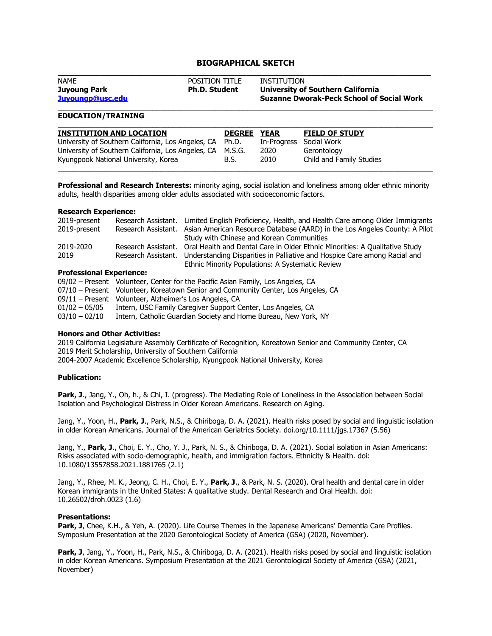# **BIOGRAPHICAL SKETCH**

| <b>NAME</b>                      | <b>POSITION TITLE</b> | INSTITUTION                                                                           |
|----------------------------------|-----------------------|---------------------------------------------------------------------------------------|
| Juyoung Park<br>Juyoungp@usc.edu | <b>Ph.D. Student</b>  | University of Southern California<br><b>Suzanne Dworak-Peck School of Social Work</b> |

## **EDUCATION/TRAINING**

| <b>INSTITUTION AND LOCATION</b>                           | <b>DEGREE</b> | <b>YEAR</b> | <b>FIELD OF STUDY</b>    |
|-----------------------------------------------------------|---------------|-------------|--------------------------|
| University of Southern California, Los Angeles, CA Ph.D.  |               | In-Progress | Social Work              |
| University of Southern California, Los Angeles, CA M.S.G. |               | 2020        | Gerontology              |
| Kyungpook National University, Korea                      | B.S.          | 2010        | Child and Family Studies |
|                                                           |               |             |                          |

**Professional and Research Interests:** minority aging, social isolation and loneliness among older ethnic minority adults, health disparities among older adults associated with socioeconomic factors.

## **Research Experience:**

| 2019-present |                     | Research Assistant. Limited English Proficiency, Health, and Health Care among Older Immigrants |
|--------------|---------------------|-------------------------------------------------------------------------------------------------|
| 2019-present |                     | Research Assistant. Asian American Resource Database (AARD) in the Los Angeles County: A Pilot  |
|              |                     | Study with Chinese and Korean Communities                                                       |
| 2019-2020    | Research Assistant. | Oral Health and Dental Care in Older Ethnic Minorities: A Qualitative Study                     |
| 2019         |                     | Research Assistant. Understanding Disparities in Palliative and Hospice Care among Racial and   |
|              |                     | Ethnic Minority Populations: A Systematic Review                                                |

# **Professional Experience:**

|                 | 09/02 – Present Volunteer, Center for the Pacific Asian Family, Los Angeles, CA   |
|-----------------|-----------------------------------------------------------------------------------|
|                 | 07/10 – Present Volunteer, Koreatown Senior and Community Center, Los Angeles, CA |
|                 | 09/11 – Present Volunteer, Alzheimer's Los Angeles, CA                            |
| $01/02 - 05/05$ | Intern, USC Family Caregiver Support Center, Los Angeles, CA                      |
| $03/10 - 02/10$ | Intern, Catholic Guardian Society and Home Bureau, New York, NY                   |

## **Honors and Other Activities:**

2019 California Legislature Assembly Certificate of Recognition, Koreatown Senior and Community Center, CA 2019 Merit Scholarship, University of Southern California 2004-2007 Academic Excellence Scholarship, Kyungpook National University, Korea

#### **Publication:**

Park, J., Jang, Y., Oh, h., & Chi, I. (progress). The Mediating Role of Loneliness in the Association between Social Isolation and Psychological Distress in Older Korean Americans. Research on Aging.

Jang, Y., Yoon, H., **Park, J**., Park, N.S., & Chiriboga, D. A. (2021). Health risks posed by social and linguistic isolation in older Korean Americans. Journal of the American Geriatrics Society. doi.org/10.1111/jgs.17367 (5.56)

Jang, Y., **Park, J**., Choi, E. Y., Cho, Y. J., Park, N. S., & Chiriboga, D. A. (2021). Social isolation in Asian Americans: Risks associated with socio-demographic, health, and immigration factors. Ethnicity & Health. doi: 10.1080/13557858.2021.1881765 (2.1)

Jang, Y., Rhee, M. K., Jeong, C. H., Choi, E. Y., **Park, J**., & Park, N. S. (2020). Oral health and dental care in older Korean immigrants in the United States: A qualitative study. Dental Research and Oral Health. doi: 10.26502/droh.0023 (1.6)

## **Presentations:**

Park, J, Chee, K.H., & Yeh, A. (2020). Life Course Themes in the Japanese Americans' Dementia Care Profiles. Symposium Presentation at the 2020 Gerontological Society of America (GSA) (2020, November).

Park, J, Jang, Y., Yoon, H., Park, N.S., & Chiriboga, D. A. (2021). Health risks posed by social and linguistic isolation in older Korean Americans. Symposium Presentation at the 2021 Gerontological Society of America (GSA) (2021, November)